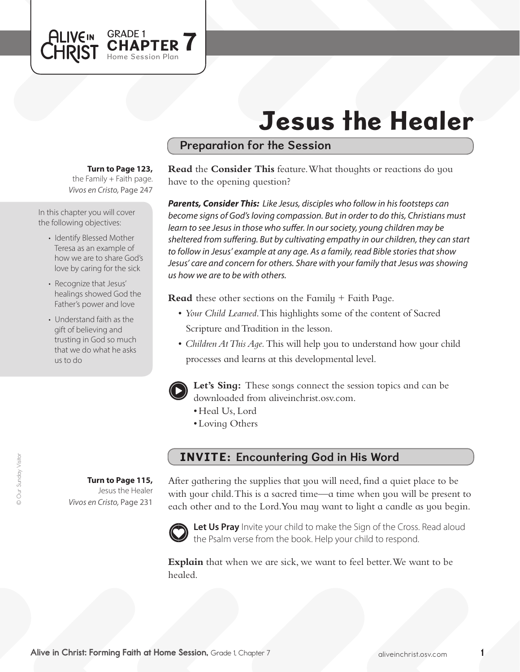# Jesus the Healer

## Preparation for the Session

#### **Turn to Page 123,**

GRADE 1<br>CHAPTER 7

Home Session Plan

the Family  $+$  Faith page. *Vivos en Cristo,* Page 247

In this chapter you will cover the following objectives:

**ALIVEIN** 

CHRIST

- Identify Blessed Mother Teresa as an example of how we are to share God's love by caring for the sick
- Recognize that Jesus' healings showed God the Father's power and love
- Understand faith as the gift of believing and trusting in God so much that we do what he asks us to do

**Turn to Page 115,** Jesus the Healer *Vivos en Cristo,* Page 231

**Read** the **Consider This** feature. What thoughts or reactions do you have to the opening question?

*Parents, Consider This: Like Jesus, disciples who follow in his footsteps can become signs of God's loving compassion. But in order to do this, Christians must learn to see Jesus in those who suffer. In our society, young children may be sheltered from suffering. But by cultivating empathy in our children, they can start to follow in Jesus' example at any age. As a family, read Bible stories that show Jesus' care and concern for others. Share with your family that Jesus was showing us how we are to be with others.* 

**Read** these other sections on the Family + Faith Page.

- *Your Child Learned*. This highlights some of the content of Sacred Scripture and Tradition in the lesson.
- *Children At This Aqe*. This will help you to understand how your child processes and learns at this developmental level.



**Let's Sing:** These songs connect the session topics and can be downloaded from aliveinchrist.osv.com.

- Heal Us, Lord
- Loving Others

### INVITE: Encountering God in His Word

After gathering the supplies that you will need, find a quiet place to be with your child. This is a sacred time—a time when you will be present to each other and to the Lord.You may want to light a candle as you begin.



Let Us Pray Invite your child to make the Sign of the Cross. Read aloud the Psalm verse from the book. Help your child to respond.

**Explain** that when we are sick, we want to feel better.We want to be healed.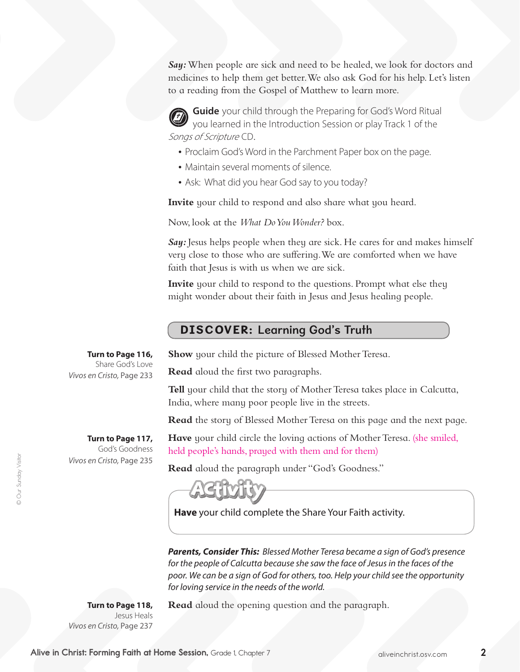*Say:*When people are sick and need to be healed, we look for doctors and medicines to help them get better.We also ask God for his help. Let's listen to a reading from the Gospel of Matthew to learn more.

**Guide** your child through the Preparing for God's Word Ritual you learned in the Introduction Session or play Track 1 of the Songs of Scripture CD.

- Proclaim God's Word in the Parchment Paper box on the page.
- Maintain several moments of silence.
- Ask: What did you hear God say to you today?

**Invite** your child to respond and also share what you heard.

Now, look at the *What Do You Wonder?* box.

**Say:** Jesus helps people when they are sick. He cares for and makes himself very close to those who are suffering. We are comforted when we have faith that Jesus is with us when we are sick.

**Invite** your child to respond to the questions. Prompt what else they might wonder about their faith in Jesus and Jesus healing people.

### DISCOVER: Learning God's Truth

**Turn to Page 116,** Share God's Love *Vivos en Cristo,* Page 233

> **Turn to Page 117,**  God's Goodness

*Vivos en Cristo,* Page 235

**Show** your child the picture of Blessed Mother Teresa.

**Read** aloud the first two paragraphs.

**Tell** your child that the story of Mother Teresa takes place in Calcutta, India, where many poor people live in the streets.

**Read** the story of Blessed Mother Teresa on this page and the next page.

**Have** your child circle the loving actions of Mother Teresa. (she smiled, held people's hands, prayed with them and for them)

**Read** aloud the paragraph under "God's Goodness."

**Have** your child complete the Share Your Faith activity.

*Parents, Consider This: Blessed Mother Teresa became a sign of God's presence for the people of Calcutta because she saw the face of Jesus in the faces of the poor. We can be a sign of God for others, too. Help your child see the opportunity for loving service in the needs of the world.*

**Turn to Page 118,** Jesus Heals *Vivos en Cristo,* Page 237 **Read** aloud the opening question and the paragraph.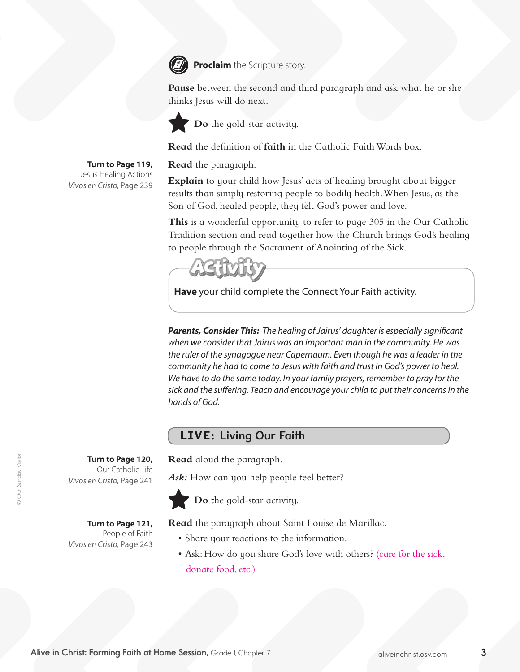

**Proclaim** the Scripture story.

**Pause** between the second and third paragraph and ask what he or she thinks Jesus will do next.



<sup>*Do* the gold-star activity.</sup>

**Read** the definition of **faith** in the Catholic Faith Words box.

**Read** the paragraph.

**Explain** to your child how Jesus' acts of healing brought about bigger results than simply restoring people to bodily health.When Jesus, as the Son of God, healed people, they felt God's power and love.

**This** is a wonderful opportunity to refer to page 305 in the Our Catholic Tradition section and read together how the Church brings God's healing to people through the Sacrament of Anointing of the Sick.



**Have** your child complete the Connect Your Faith activity.

*Parents, Consider This: The healing of Jairus' daughter is especially significant when we consider that Jairus was an important man in the community. He was the ruler of the synagogue near Capernaum. Even though he was a leader in the community he had to come to Jesus with faith and trust in God's power to heal. We have to do the same today. In your family prayers, remember to pray for the sick and the suffering. Teach and encourage your child to put their concerns in the hands of God.* 

### LIVE: Living Our Faith

**Read** aloud the paragraph.

Ask: How can you help people feel better?



**Do** the gold-star activity.

**Read** the paragraph about Saint Louise de Marillac.

- Share your reactions to the information.
- Ask: How do you share God's love with others? (care for the sick, donate food, etc.)

**Turn to Page 120,**  Our Catholic Life *Vivos en Cristo,* Page 241

**Turn to Page 121,**  People of Faith *Vivos en Cristo,* Page 243

**Turn to Page 119,** Jesus Healing Actions *Vivos en Cristo,* Page 239